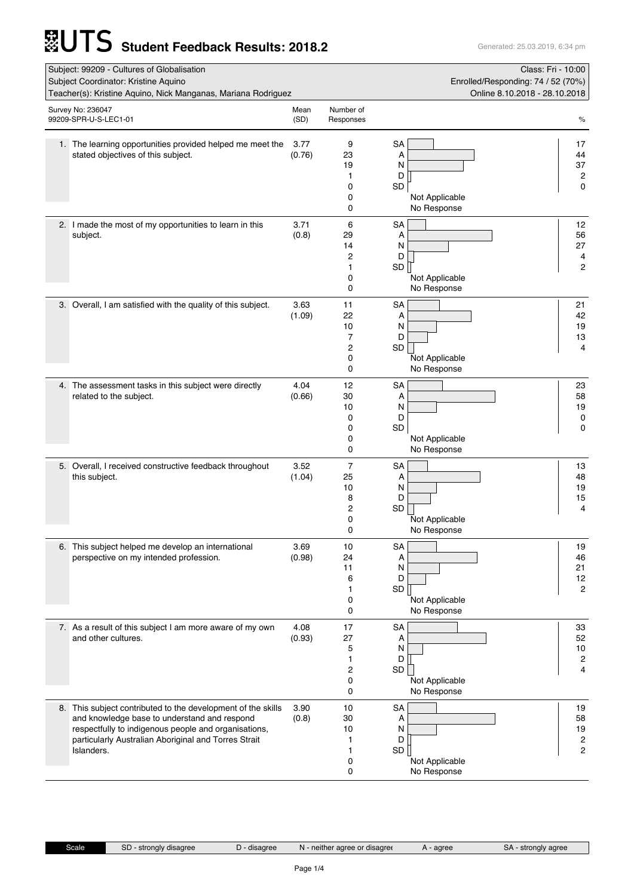## **STUTS** Student Feedback Results: 2018.2

| Subject: 99209 - Cultures of Globalisation<br>Subject Coordinator: Kristine Aquino<br>Teacher(s): Kristine Aquino, Nick Manganas, Mariana Rodriguez                                                                                        |                |                                                 | Enrolled/Responding: 74 / 52 (70%)<br>Online 8.10.2018 - 28.10.2018          | Class: Fri - 10:00                             |
|--------------------------------------------------------------------------------------------------------------------------------------------------------------------------------------------------------------------------------------------|----------------|-------------------------------------------------|------------------------------------------------------------------------------|------------------------------------------------|
| Survey No: 236047<br>99209-SPR-U-S-LEC1-01                                                                                                                                                                                                 | Mean<br>(SD)   | Number of<br>Responses                          |                                                                              | $\%$                                           |
| 1. The learning opportunities provided helped me meet the<br>stated objectives of this subject.                                                                                                                                            | 3.77<br>(0.76) | 9<br>23<br>19<br>1<br>0<br>0<br>0               | <b>SA</b><br>Α<br>N<br>D<br>SD<br>Not Applicable<br>No Response              | 17<br>44<br>37<br>$\overline{c}$<br>0          |
| 2. I made the most of my opportunities to learn in this<br>subject.                                                                                                                                                                        | 3.71<br>(0.8)  | 6<br>29<br>14<br>2<br>1<br>0<br>0               | SA<br>А<br>N<br>D<br>SD  <br>Not Applicable<br>No Response                   | 12<br>56<br>27<br>4<br>2                       |
| 3. Overall, I am satisfied with the quality of this subject.                                                                                                                                                                               | 3.63<br>(1.09) | 11<br>22<br>10<br>$\overline{7}$<br>2<br>0<br>0 | SA<br>Α<br>N<br>D<br>SD<br>Not Applicable<br>No Response                     | 21<br>42<br>19<br>13<br>4                      |
| 4. The assessment tasks in this subject were directly<br>related to the subject.                                                                                                                                                           | 4.04<br>(0.66) | 12<br>30<br>10<br>0<br>0<br>0<br>0              | <b>SA</b><br>Α<br>N<br>D<br>SD<br>Not Applicable<br>No Response              | 23<br>58<br>19<br>0<br>0                       |
| 5. Overall, I received constructive feedback throughout<br>this subject.                                                                                                                                                                   | 3.52<br>(1.04) | $\overline{7}$<br>25<br>10<br>8<br>2<br>0<br>0  | <b>SA</b><br>Α<br>N<br>D<br>SD<br>Not Applicable<br>No Response              | 13<br>48<br>19<br>15<br>$\overline{4}$         |
| 6. This subject helped me develop an international<br>perspective on my intended profession.                                                                                                                                               | 3.69<br>(0.98) | 10<br>24<br>11<br>6<br>1<br>0<br>0              | SA<br>Α<br>N<br>D<br>SD<br>Not Applicable<br>No Response                     | 19<br>46<br>21<br>12<br>2                      |
| 7. As a result of this subject I am more aware of my own<br>and other cultures.                                                                                                                                                            | 4.08<br>(0.93) | 17<br>27<br>5<br>1<br>$\overline{c}$<br>0<br>0  | <b>SA</b><br>Α<br>N<br>D<br>SD<br>Not Applicable<br>No Response              | 33<br>52<br>10<br>$\overline{c}$<br>4          |
| 8. This subject contributed to the development of the skills<br>and knowledge base to understand and respond<br>respectfully to indigenous people and organisations,<br>particularly Australian Aboriginal and Torres Strait<br>Islanders. | 3.90<br>(0.8)  | 10<br>30<br>10<br>1<br>1<br>0<br>0              | <b>SA</b><br>Α<br>N<br>D<br>SD <sup>T</sup><br>Not Applicable<br>No Response | 19<br>58<br>19<br>$\overline{\mathbf{c}}$<br>2 |

Scale SD - strongly disagree D - disagree N - neither agree or disagree A - agree SA - strongly agree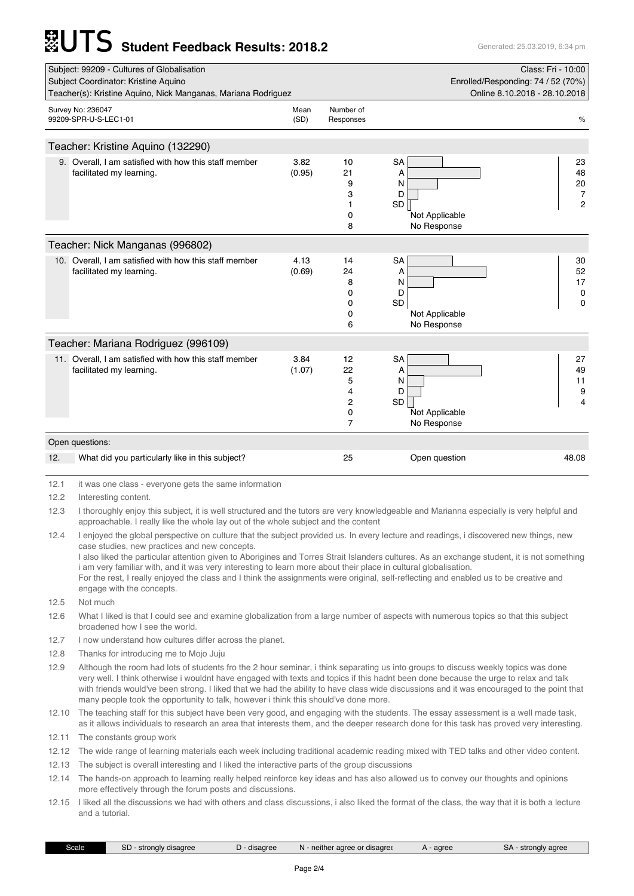## **Student Feedback Results: 2018.2** Generated: 25.03.2019, 6:34 pm

|      | Subject: 99209 - Cultures of Globalisation                                         |                                    |                                   |                                                                 | Class: Fri - 10:00                                 |
|------|------------------------------------------------------------------------------------|------------------------------------|-----------------------------------|-----------------------------------------------------------------|----------------------------------------------------|
|      | Subject Coordinator: Kristine Aquino                                               | Enrolled/Responding: 74 / 52 (70%) |                                   |                                                                 |                                                    |
|      | Teacher(s): Kristine Aquino, Nick Manganas, Mariana Rodriguez                      |                                    |                                   |                                                                 | Online 8.10.2018 - 28.10.2018                      |
|      | Survey No: 236047<br>99209-SPR-U-S-LEC1-01                                         | Mean<br>(SD)                       | Number of<br>Responses            |                                                                 | $\%$                                               |
|      | Teacher: Kristine Aquino (132290)                                                  |                                    |                                   |                                                                 |                                                    |
|      | 9. Overall, I am satisfied with how this staff member<br>facilitated my learning.  | 3.82<br>(0.95)                     | 10<br>21<br>9<br>3<br>0<br>8      | <b>SA</b><br>A<br>N<br>D<br>SD<br>Not Applicable<br>No Response | 23<br>48<br>20<br>$\overline{7}$<br>$\overline{2}$ |
|      | Teacher: Nick Manganas (996802)                                                    |                                    |                                   |                                                                 |                                                    |
|      | 10. Overall, I am satisfied with how this staff member<br>facilitated my learning. | 4.13<br>(0.69)                     | 14<br>24<br>8<br>0<br>0<br>0<br>6 | <b>SA</b><br>Α<br>N<br>D<br>SD<br>Not Applicable<br>No Response | 30<br>52<br>17<br>0<br>$\Omega$                    |
|      | Teacher: Mariana Rodriguez (996109)                                                |                                    |                                   |                                                                 |                                                    |
|      | 11. Overall, I am satisfied with how this staff member<br>facilitated my learning. | 3.84<br>(1.07)                     | 12<br>22<br>5<br>4<br>2<br>0<br>7 | <b>SA</b><br>A<br>N<br>D<br>SD<br>Not Applicable<br>No Response | 27<br>49<br>11<br>9<br>4                           |
|      | Open questions:                                                                    |                                    |                                   |                                                                 |                                                    |
| 12.  | What did you particularly like in this subject?                                    |                                    | 25                                | Open question                                                   | 48.08                                              |
| 12.1 | it was one class - everyone gets the same information                              |                                    |                                   |                                                                 |                                                    |
|      |                                                                                    |                                    |                                   |                                                                 |                                                    |

12.2 Interesting content.

12.3 I thoroughly enjoy this subject, it is well structured and the tutors are very knowledgeable and Marianna especially is very helpful and approachable. I really like the whole lay out of the whole subject and the content

12.4 I enjoyed the global perspective on culture that the subject provided us. In every lecture and readings, i discovered new things, new case studies, new practices and new concepts. I also liked the particular attention given to Aborigines and Torres Strait Islanders cultures. As an exchange student, it is not something

i am very familiar with, and it was very interesting to learn more about their place in cultural globalisation. For the rest, I really enjoyed the class and I think the assignments were original, self-reflecting and enabled us to be creative and engage with the concepts.

12.5 Not much

12.6 What I liked is that I could see and examine globalization from a large number of aspects with numerous topics so that this subject broadened how I see the world.

12.7 I now understand how cultures differ across the planet.

12.8 Thanks for introducing me to Mojo Juju

12.9 Although the room had lots of students fro the 2 hour seminar, i think separating us into groups to discuss weekly topics was done very well. I think otherwise i wouldnt have engaged with texts and topics if this hadnt been done because the urge to relax and talk with friends would've been strong. I liked that we had the ability to have class wide discussions and it was encouraged to the point that many people took the opportunity to talk, however i think this should've done more.

12.10 The teaching staff for this subject have been very good, and engaging with the students. The essay assessment is a well made task, as it allows individuals to research an area that interests them, and the deeper research done for this task has proved very interesting.

12.11 The constants group work

12.12 The wide range of learning materials each week including traditional academic reading mixed with TED talks and other video content.

12.13 The subject is overall interesting and I liked the interactive parts of the group discussions

12.14 The hands-on approach to learning really helped reinforce key ideas and has also allowed us to convey our thoughts and opinions more effectively through the forum posts and discussions.

12.15 I liked all the discussions we had with others and class discussions, i also liked the format of the class, the way that it is both a lecture and a tutorial.

| Scale | $\sim$<br>strongly disagree<br>5D. | disagree | <b>TALL</b><br>aaree or disaaree<br>neither | agree | <sup>t</sup> agree<br>stronaly<br>SΡ |
|-------|------------------------------------|----------|---------------------------------------------|-------|--------------------------------------|
|       |                                    |          |                                             |       |                                      |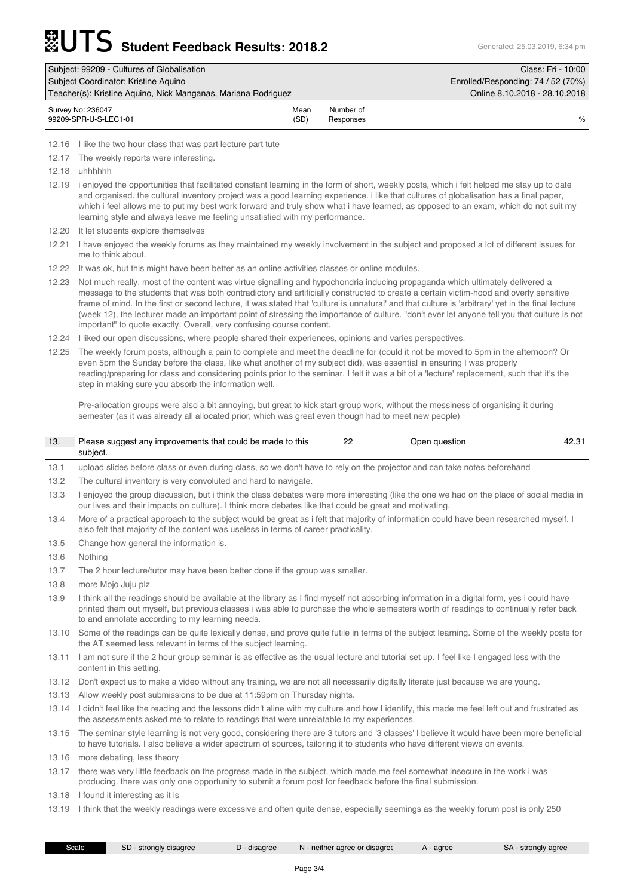| Subject: 99209 - Cultures of Globalisation                    |                                    |                        | Class: Fri - 10:00            |
|---------------------------------------------------------------|------------------------------------|------------------------|-------------------------------|
| Subject Coordinator: Kristine Aguino                          | Enrolled/Responding: 74 / 52 (70%) |                        |                               |
| Teacher(s): Kristine Aguino, Nick Manganas, Mariana Rodriguez |                                    |                        | Online 8.10.2018 - 28.10.2018 |
| Survey No: 236047<br>99209-SPR-U-S-LEC1-01                    | Mean<br>(SD)                       | Number of<br>Responses | %                             |

12.16 I like the two hour class that was part lecture part tute

12.17 The weekly reports were interesting.

12.18 uhhhhhh

12.19 i enjoyed the opportunities that facilitated constant learning in the form of short, weekly posts, which i felt helped me stay up to date and organised. the cultural inventory project was a good learning experience. i like that cultures of globalisation has a final paper, which i feel allows me to put my best work forward and truly show what i have learned, as opposed to an exam, which do not suit my learning style and always leave me feeling unsatisfied with my performance.

12.20 It let students explore themselves

12.21 I have enjoyed the weekly forums as they maintained my weekly involvement in the subject and proposed a lot of different issues for me to think about.

12.22 It was ok, but this might have been better as an online activities classes or online modules.

12.23 Not much really. most of the content was virtue signalling and hypochondria inducing propaganda which ultimately delivered a message to the students that was both contradictory and artificially constructed to create a certain victim-hood and overly sensitive frame of mind. In the first or second lecture, it was stated that 'culture is unnatural' and that culture is 'arbitrary' yet in the final lecture (week 12), the lecturer made an important point of stressing the importance of culture. "don't ever let anyone tell you that culture is not important" to quote exactly. Overall, very confusing course content.

12.24 I liked our open discussions, where people shared their experiences, opinions and varies perspectives.

12.25 The weekly forum posts, although a pain to complete and meet the deadline for (could it not be moved to 5pm in the afternoon? Or even 5pm the Sunday before the class, like what another of my subject did), was essential in ensuring I was properly reading/preparing for class and considering points prior to the seminar. I felt it was a bit of a 'lecture' replacement, such that it's the step in making sure you absorb the information well.

Pre-allocation groups were also a bit annoying, but great to kick start group work, without the messiness of organising it during semester (as it was already all allocated prior, which was great even though had to meet new people)

| Please suggest any improvements that could be made to this | っっ | Open question | 42.31 |
|------------------------------------------------------------|----|---------------|-------|
| subject.                                                   |    |               |       |

13.1 upload slides before class or even during class, so we don't have to rely on the projector and can take notes beforehand

13.2 The cultural inventory is very convoluted and hard to navigate.

13.3 I enjoyed the group discussion, but i think the class debates were more interesting (like the one we had on the place of social media in our lives and their impacts on culture). I think more debates like that could be great and motivating.

13.4 More of a practical approach to the subject would be great as i felt that majority of information could have been researched myself. I also felt that majority of the content was useless in terms of career practicality.

13.5 Change how general the information is.

13.6 Nothing

13.7 The 2 hour lecture/tutor may have been better done if the group was smaller.

13.8 more Mojo Juju plz

13.9 I think all the readings should be available at the library as I find myself not absorbing information in a digital form, yes i could have printed them out myself, but previous classes i was able to purchase the whole semesters worth of readings to continually refer back to and annotate according to my learning needs.

13.10 Some of the readings can be quite lexically dense, and prove quite futile in terms of the subject learning. Some of the weekly posts for the AT seemed less relevant in terms of the subject learning.

13.11 I am not sure if the 2 hour group seminar is as effective as the usual lecture and tutorial set up. I feel like I engaged less with the content in this setting.

13.12 Don't expect us to make a video without any training, we are not all necessarily digitally literate just because we are young.

13.13 Allow weekly post submissions to be due at 11:59pm on Thursday nights.

13.14 I didn't feel like the reading and the lessons didn't aline with my culture and how I identify, this made me feel left out and frustrated as the assessments asked me to relate to readings that were unrelatable to my experiences.

13.15 The seminar style learning is not very good, considering there are 3 tutors and '3 classes' I believe it would have been more beneficial to have tutorials. I also believe a wider spectrum of sources, tailoring it to students who have different views on events.

13.16 more debating, less theory

13.17 there was very little feedback on the progress made in the subject, which made me feel somewhat insecure in the work i was producing. there was only one opportunity to submit a forum post for feedback before the final submission.

13.18 I found it interesting as it is

13.19 I think that the weekly readings were excessive and often quite dense, especially seemings as the weekly forum post is only 250

|  | Scale. | SD<br>strongly disagree | disagree | neither agree or disagree<br>N | agree | strongly agree<br>5A. |
|--|--------|-------------------------|----------|--------------------------------|-------|-----------------------|
|--|--------|-------------------------|----------|--------------------------------|-------|-----------------------|